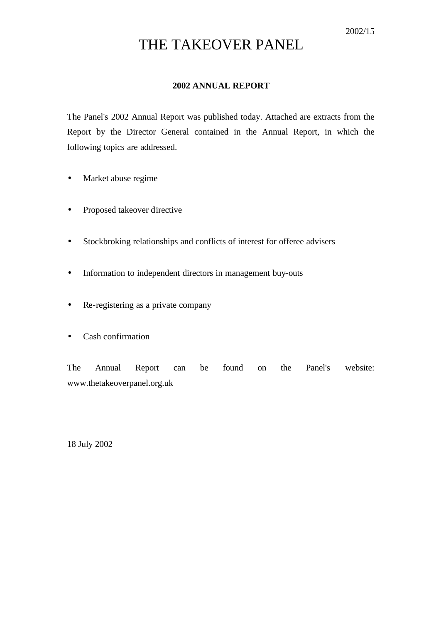# THE TAKEOVER PANEL

### **2002 ANNUAL REPORT**

The Panel's 2002 Annual Report was published today. Attached are extracts from the Report by the Director General contained in the Annual Report, in which the following topics are addressed.

- Market abuse regime
- Proposed takeover directive
- Stockbroking relationships and conflicts of interest for offeree advisers
- Information to independent directors in management buy-outs
- Re-registering as a private company
- Cash confirmation

The Annual Report can be found on the Panel's website: www.thetakeoverpanel.org.uk

18 July 2002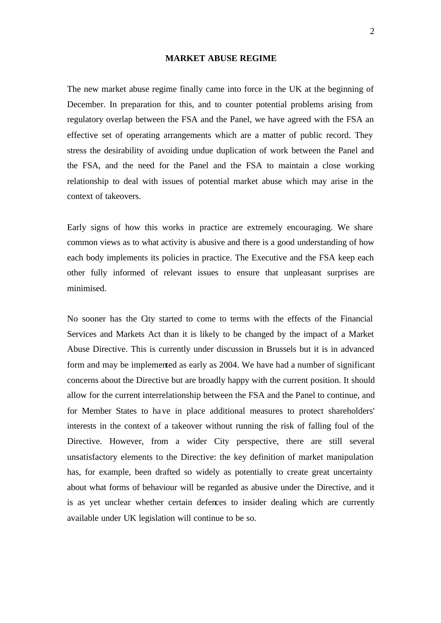### **MARKET ABUSE REGIME**

The new market abuse regime finally came into force in the UK at the beginning of December. In preparation for this, and to counter potential problems arising from regulatory overlap between the FSA and the Panel, we have agreed with the FSA an effective set of operating arrangements which are a matter of public record. They stress the desirability of avoiding undue duplication of work between the Panel and the FSA, and the need for the Panel and the FSA to maintain a close working relationship to deal with issues of potential market abuse which may arise in the context of takeovers.

Early signs of how this works in practice are extremely encouraging. We share common views as to what activity is abusive and there is a good understanding of how each body implements its policies in practice. The Executive and the FSA keep each other fully informed of relevant issues to ensure that unpleasant surprises are minimised.

No sooner has the City started to come to terms with the effects of the Financial Services and Markets Act than it is likely to be changed by the impact of a Market Abuse Directive. This is currently under discussion in Brussels but it is in advanced form and may be implemented as early as 2004. We have had a number of significant concerns about the Directive but are broadly happy with the current position. It should allow for the current interrelationship between the FSA and the Panel to continue, and for Member States to have in place additional measures to protect shareholders' interests in the context of a takeover without running the risk of falling foul of the Directive. However, from a wider City perspective, there are still several unsatisfactory elements to the Directive: the key definition of market manipulation has, for example, been drafted so widely as potentially to create great uncertainty about what forms of behaviour will be regarded as abusive under the Directive, and it is as yet unclear whether certain defences to insider dealing which are currently available under UK legislation will continue to be so.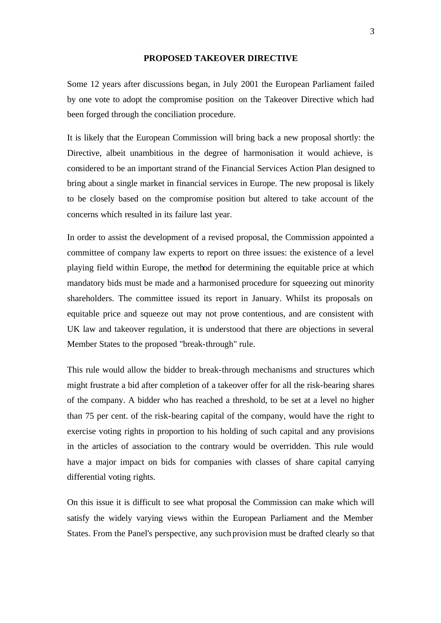### **PROPOSED TAKEOVER DIRECTIVE**

Some 12 years after discussions began, in July 2001 the European Parliament failed by one vote to adopt the compromise position on the Takeover Directive which had been forged through the conciliation procedure.

It is likely that the European Commission will bring back a new proposal shortly: the Directive, albeit unambitious in the degree of harmonisation it would achieve, is considered to be an important strand of the Financial Services Action Plan designed to bring about a single market in financial services in Europe. The new proposal is likely to be closely based on the compromise position but altered to take account of the concerns which resulted in its failure last year.

In order to assist the development of a revised proposal, the Commission appointed a committee of company law experts to report on three issues: the existence of a level playing field within Europe, the method for determining the equitable price at which mandatory bids must be made and a harmonised procedure for squeezing out minority shareholders. The committee issued its report in January. Whilst its proposals on equitable price and squeeze out may not prove contentious, and are consistent with UK law and takeover regulation, it is understood that there are objections in several Member States to the proposed "break-through" rule.

This rule would allow the bidder to break-through mechanisms and structures which might frustrate a bid after completion of a takeover offer for all the risk-bearing shares of the company. A bidder who has reached a threshold, to be set at a level no higher than 75 per cent. of the risk-bearing capital of the company, would have the right to exercise voting rights in proportion to his holding of such capital and any provisions in the articles of association to the contrary would be overridden. This rule would have a major impact on bids for companies with classes of share capital carrying differential voting rights.

On this issue it is difficult to see what proposal the Commission can make which will satisfy the widely varying views within the European Parliament and the Member States. From the Panel's perspective, any such provision must be drafted clearly so that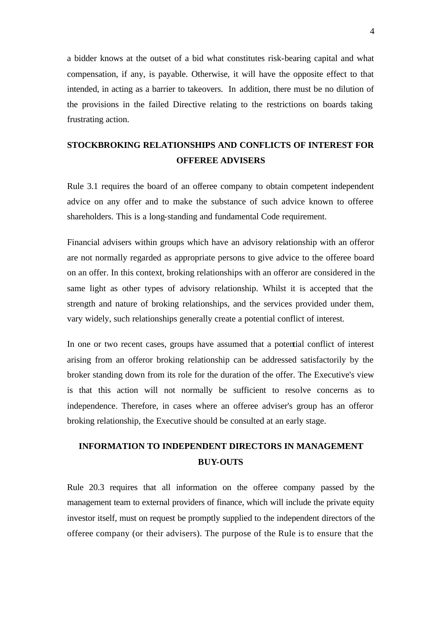a bidder knows at the outset of a bid what constitutes risk-bearing capital and what compensation, if any, is payable. Otherwise, it will have the opposite effect to that intended, in acting as a barrier to takeovers. In addition, there must be no dilution of the provisions in the failed Directive relating to the restrictions on boards taking frustrating action.

## **STOCKBROKING RELATIONSHIPS AND CONFLICTS OF INTEREST FOR OFFEREE ADVISERS**

Rule 3.1 requires the board of an offeree company to obtain competent independent advice on any offer and to make the substance of such advice known to offeree shareholders. This is a long-standing and fundamental Code requirement.

Financial advisers within groups which have an advisory relationship with an offeror are not normally regarded as appropriate persons to give advice to the offeree board on an offer. In this context, broking relationships with an offeror are considered in the same light as other types of advisory relationship. Whilst it is accepted that the strength and nature of broking relationships, and the services provided under them, vary widely, such relationships generally create a potential conflict of interest.

In one or two recent cases, groups have assumed that a potential conflict of interest arising from an offeror broking relationship can be addressed satisfactorily by the broker standing down from its role for the duration of the offer. The Executive's view is that this action will not normally be sufficient to resolve concerns as to independence. Therefore, in cases where an offeree adviser's group has an offeror broking relationship, the Executive should be consulted at an early stage.

### **INFORMATION TO INDEPENDENT DIRECTORS IN MANAGEMENT BUY-OUTS**

Rule 20.3 requires that all information on the offeree company passed by the management team to external providers of finance, which will include the private equity investor itself, must on request be promptly supplied to the independent directors of the offeree company (or their advisers). The purpose of the Rule is to ensure that the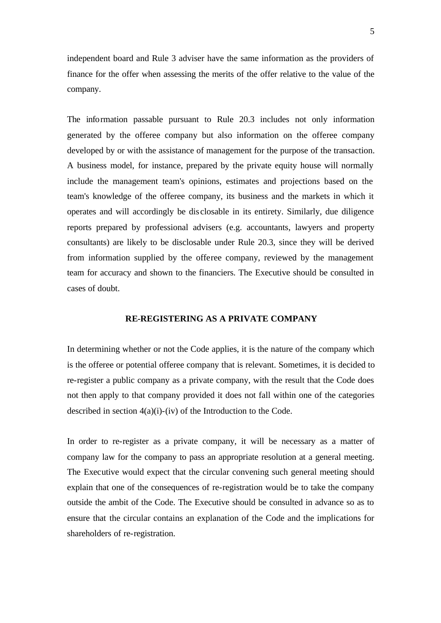independent board and Rule 3 adviser have the same information as the providers of finance for the offer when assessing the merits of the offer relative to the value of the company.

The information passable pursuant to Rule 20.3 includes not only information generated by the offeree company but also information on the offeree company developed by or with the assistance of management for the purpose of the transaction. A business model, for instance, prepared by the private equity house will normally include the management team's opinions, estimates and projections based on the team's knowledge of the offeree company, its business and the markets in which it operates and will accordingly be dis closable in its entirety. Similarly, due diligence reports prepared by professional advisers (e.g. accountants, lawyers and property consultants) are likely to be disclosable under Rule 20.3, since they will be derived from information supplied by the offeree company, reviewed by the management team for accuracy and shown to the financiers. The Executive should be consulted in cases of doubt.

### **RE-REGISTERING AS A PRIVATE COMPANY**

In determining whether or not the Code applies, it is the nature of the company which is the offeree or potential offeree company that is relevant. Sometimes, it is decided to re-register a public company as a private company, with the result that the Code does not then apply to that company provided it does not fall within one of the categories described in section 4(a)(i)-(iv) of the Introduction to the Code.

In order to re-register as a private company, it will be necessary as a matter of company law for the company to pass an appropriate resolution at a general meeting. The Executive would expect that the circular convening such general meeting should explain that one of the consequences of re-registration would be to take the company outside the ambit of the Code. The Executive should be consulted in advance so as to ensure that the circular contains an explanation of the Code and the implications for shareholders of re-registration.